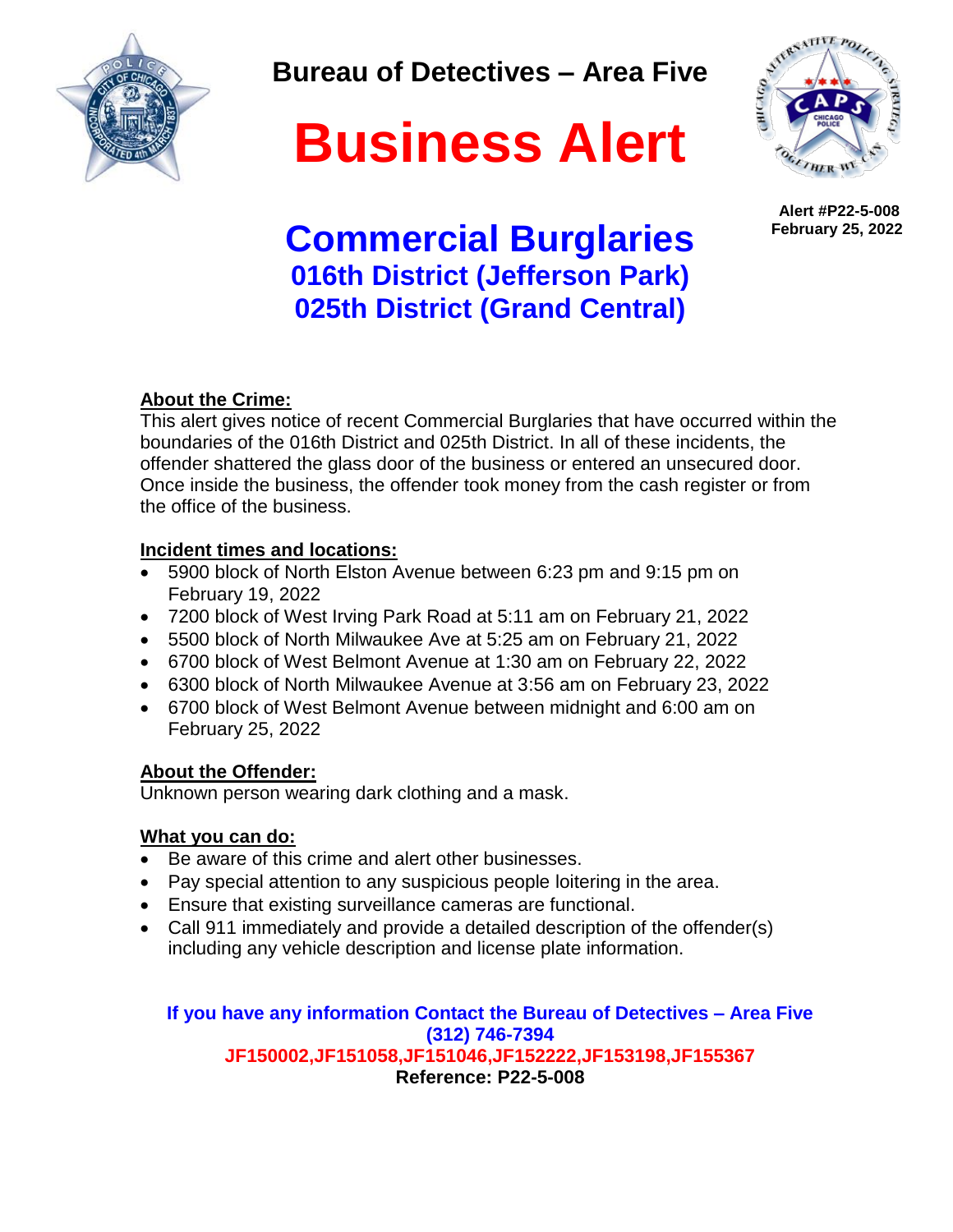

**Bureau of Detectives – Area Five**

# **Business Alert**



 **Alert #P22-5-008 February 25, 2022**

# **Commercial Burglaries 016th District (Jefferson Park) 025th District (Grand Central)**

### **About the Crime:**

This alert gives notice of recent Commercial Burglaries that have occurred within the boundaries of the 016th District and 025th District. In all of these incidents, the offender shattered the glass door of the business or entered an unsecured door. Once inside the business, the offender took money from the cash register or from the office of the business.

### **Incident times and locations:**

- 5900 block of North Elston Avenue between 6:23 pm and 9:15 pm on February 19, 2022
- 7200 block of West Irving Park Road at 5:11 am on February 21, 2022
- 5500 block of North Milwaukee Ave at 5:25 am on February 21, 2022
- 6700 block of West Belmont Avenue at 1:30 am on February 22, 2022
- 6300 block of North Milwaukee Avenue at 3:56 am on February 23, 2022
- 6700 block of West Belmont Avenue between midnight and 6:00 am on February 25, 2022

### **About the Offender:**

Unknown person wearing dark clothing and a mask.

# **What you can do:**

- Be aware of this crime and alert other businesses.
- Pay special attention to any suspicious people loitering in the area.
- Ensure that existing surveillance cameras are functional.
- Call 911 immediately and provide a detailed description of the offender(s) including any vehicle description and license plate information.

#### **If you have any information Contact the Bureau of Detectives – Area Five (312) 746-7394 JF150002,JF151058,JF151046,JF152222,JF153198,JF155367 Reference: P22-5-008**